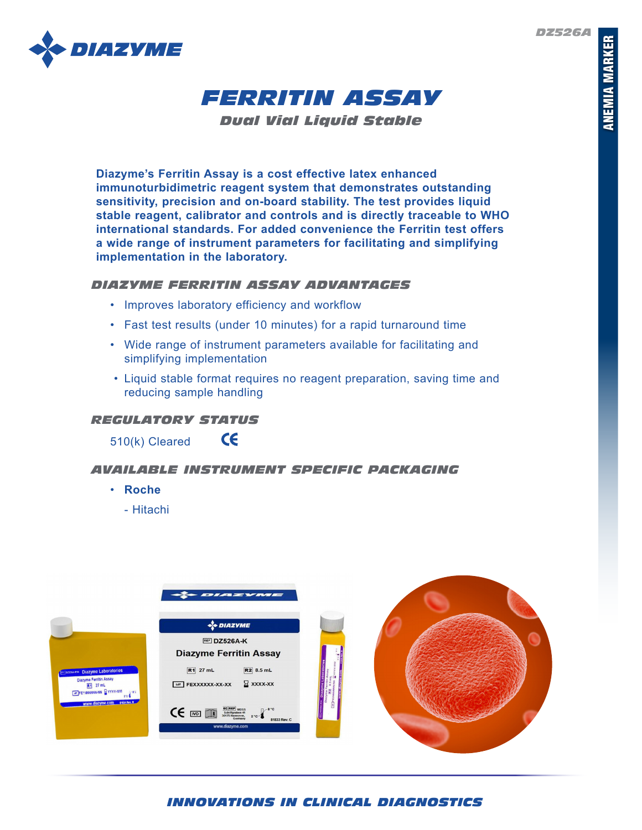*DZ526A*





*Dual Vial Liquid Stable*

**Diazyme's Ferritin Assay is a cost effective latex enhanced immunoturbidimetric reagent system that demonstrates outstanding sensitivity, precision and on-board stability. The test provides liquid stable reagent, calibrator and controls and is directly traceable to WHO international standards. For added convenience the Ferritin test offers a wide range of instrument parameters for facilitating and simplifying implementation in the laboratory.** 

### *DIAZYME FERRITIN ASSAY ADVANTAGES*

• Improves laboratory efficiency and workflow

 $\epsilon$ 

- Fast test results (under 10 minutes) for a rapid turnaround time
- Wide range of instrument parameters available for facilitating and simplifying implementation
- Liquid stable format requires no reagent preparation, saving time and reducing sample handling

# *REGULATORY STATUS*

510(k) Cleared

## *AVAILABLE INSTRUMENT SPECIFIC PACKAGING*

- **Roche**
	- Hitachi



*INNOVATIONS IN CLINICAL DIAGNOSTICS*